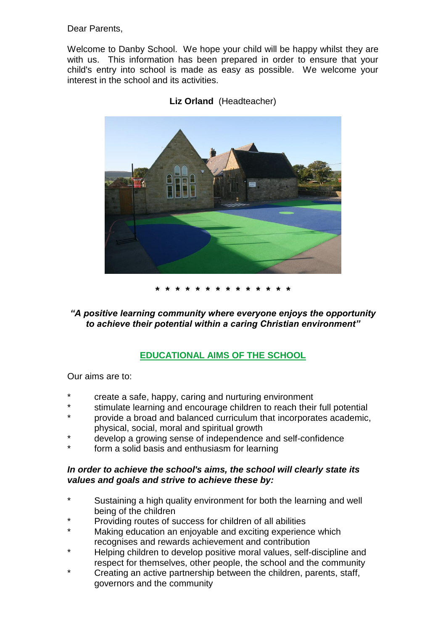Dear Parents,

Welcome to Danby School. We hope your child will be happy whilst they are with us. This information has been prepared in order to ensure that your child's entry into school is made as easy as possible. We welcome your interest in the school and its activities.



**Liz Orland** (Headteacher)

**\* \* \* \* \* \* \* \* \* \* \* \* \* \***

*"A positive learning community where everyone enjoys the opportunity to achieve their potential within a caring Christian environment"*

# **EDUCATIONAL AIMS OF THE SCHOOL**

Our aims are to:

- create a safe, happy, caring and nurturing environment
- stimulate learning and encourage children to reach their full potential
- provide a broad and balanced curriculum that incorporates academic, physical, social, moral and spiritual growth
- develop a growing sense of independence and self-confidence
- form a solid basis and enthusiasm for learning

## *In order to achieve the school's aims, the school will clearly state its values and goals and strive to achieve these by:*

- Sustaining a high quality environment for both the learning and well being of the children
- Providing routes of success for children of all abilities
- Making education an enjoyable and exciting experience which recognises and rewards achievement and contribution
- Helping children to develop positive moral values, self-discipline and respect for themselves, other people, the school and the community
- Creating an active partnership between the children, parents, staff, governors and the community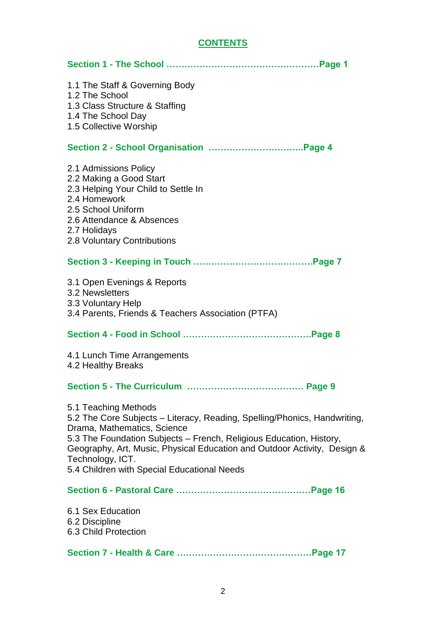| 1.1 The Staff & Governing Body<br>1.2 The School<br>1.3 Class Structure & Staffing<br>1.4 The School Day<br>1.5 Collective Worship                                                                                                                                                                                                                     |
|--------------------------------------------------------------------------------------------------------------------------------------------------------------------------------------------------------------------------------------------------------------------------------------------------------------------------------------------------------|
|                                                                                                                                                                                                                                                                                                                                                        |
| 2.1 Admissions Policy<br>2.2 Making a Good Start<br>2.3 Helping Your Child to Settle In<br>2.4 Homework<br>2.5 School Uniform<br>2.6 Attendance & Absences<br>2.7 Holidays<br>2.8 Voluntary Contributions                                                                                                                                              |
|                                                                                                                                                                                                                                                                                                                                                        |
| 3.1 Open Evenings & Reports<br>3.2 Newsletters<br>3.3 Voluntary Help<br>3.4 Parents, Friends & Teachers Association (PTFA)                                                                                                                                                                                                                             |
|                                                                                                                                                                                                                                                                                                                                                        |
| 4.1 Lunch Time Arrangements<br>4.2 Healthy Breaks                                                                                                                                                                                                                                                                                                      |
|                                                                                                                                                                                                                                                                                                                                                        |
| 5.1 Teaching Methods<br>5.2 The Core Subjects – Literacy, Reading, Spelling/Phonics, Handwriting,<br>Drama, Mathematics, Science<br>5.3 The Foundation Subjects - French, Religious Education, History,<br>Geography, Art, Music, Physical Education and Outdoor Activity, Design &<br>Technology, ICT.<br>5.4 Children with Special Educational Needs |
|                                                                                                                                                                                                                                                                                                                                                        |
| 6.1 Sex Education<br>6.2 Discipline<br>6.3 Child Protection                                                                                                                                                                                                                                                                                            |
|                                                                                                                                                                                                                                                                                                                                                        |

# **CONTENTS**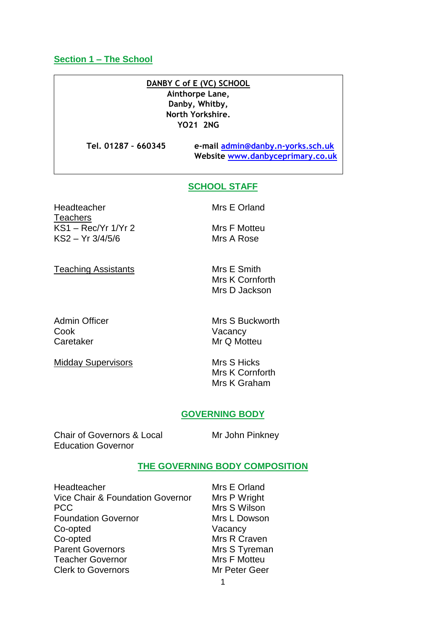#### **Section 1 – The School**

# **DANBY C of E (VC) SCHOOL**

**Ainthorpe Lane, Danby, Whitby, North Yorkshire. YO21 2NG**

**Tel. 01287 – 660345 e-mail [admin@danby.n-yorks.sch.uk](mailto:admin@danby.n-yorks.sch.uk) Website [www.danbyceprimary.co.uk](http://www.danbyceprimary.co.uk/)**

#### **SCHOOL STAFF**

Headteacher Mrs E Orland **Teachers** KS1 – Rec/Yr 1/Yr 2 KS2 – Yr 3/4/5/6

Teaching Assistants

Mrs F Motteu

Mrs A Rose

Mrs E Smith Mrs K Cornforth Mrs D Jackson

Admin Officer Cook Caretaker

Midday Supervisors

Mrs S Buckworth Vacancy Mr Q Motteu

Mrs S Hicks Mrs K Cornforth Mrs K Graham

#### **GOVERNING BODY**

Chair of Governors & Local Education Governor

Mr John Pinkney

#### **THE GOVERNING BODY COMPOSITION**

**Headteacher** Vice Chair & Foundation Governor PCC Foundation Governor Co-opted Co-opted Parent Governors Teacher Governor Clerk to Governors

Mrs E Orland Mrs P Wright Mrs S Wilson Mrs L Dowson Vacancy Mrs R Craven Mrs S Tyreman Mrs F Motteu Mr Peter Geer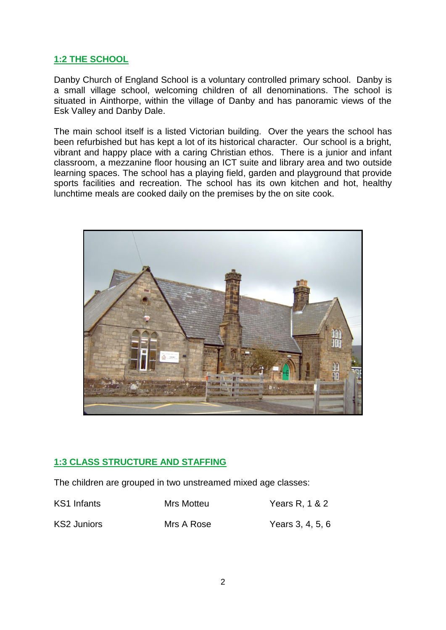# **1:2 THE SCHOOL**

Danby Church of England School is a voluntary controlled primary school. Danby is a small village school, welcoming children of all denominations. The school is situated in Ainthorpe, within the village of Danby and has panoramic views of the Esk Valley and Danby Dale.

The main school itself is a listed Victorian building. Over the years the school has been refurbished but has kept a lot of its historical character. Our school is a bright, vibrant and happy place with a caring Christian ethos. There is a junior and infant classroom, a mezzanine floor housing an ICT suite and library area and two outside learning spaces. The school has a playing field, garden and playground that provide sports facilities and recreation. The school has its own kitchen and hot, healthy lunchtime meals are cooked daily on the premises by the on site cook.



# **1:3 CLASS STRUCTURE AND STAFFING**

The children are grouped in two unstreamed mixed age classes:

KS1 Infants Mrs Motteu Years R, 1 & 2 KS2 Juniors Mrs A Rose Years 3, 4, 5, 6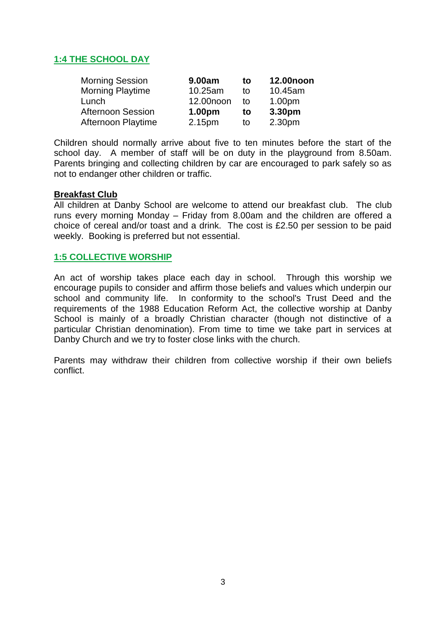# **1:4 THE SCHOOL DAY**

| <b>Morning Session</b>   | 9.00am    | to | 12.00noon |
|--------------------------|-----------|----|-----------|
| <b>Morning Playtime</b>  | 10.25am   | tο | 10.45am   |
| Lunch                    | 12.00noon | t٥ | 1.00pm    |
| <b>Afternoon Session</b> | 1.00pm    | to | 3.30pm    |
| Afternoon Playtime       | 2.15pm    | to | 2.30pm    |

Children should normally arrive about five to ten minutes before the start of the school day. A member of staff will be on duty in the playground from 8.50am. Parents bringing and collecting children by car are encouraged to park safely so as not to endanger other children or traffic.

## **Breakfast Club**

All children at Danby School are welcome to attend our breakfast club. The club runs every morning Monday – Friday from 8.00am and the children are offered a choice of cereal and/or toast and a drink. The cost is £2.50 per session to be paid weekly. Booking is preferred but not essential.

#### **1:5 COLLECTIVE WORSHIP**

An act of worship takes place each day in school. Through this worship we encourage pupils to consider and affirm those beliefs and values which underpin our school and community life. In conformity to the school's Trust Deed and the requirements of the 1988 Education Reform Act, the collective worship at Danby School is mainly of a broadly Christian character (though not distinctive of a particular Christian denomination). From time to time we take part in services at Danby Church and we try to foster close links with the church.

Parents may withdraw their children from collective worship if their own beliefs conflict.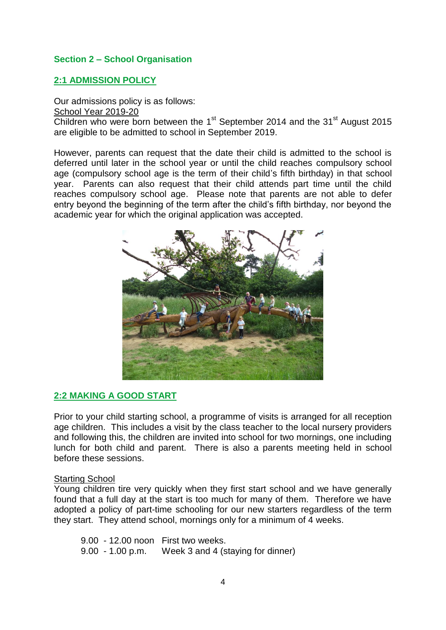## **Section 2 – School Organisation**

## **2:1 ADMISSION POLICY**

Our admissions policy is as follows: School Year 2019-20 Children who were born between the  $1<sup>st</sup>$  September 2014 and the 31 $<sup>st</sup>$  August 2015</sup> are eligible to be admitted to school in September 2019.

However, parents can request that the date their child is admitted to the school is deferred until later in the school year or until the child reaches compulsory school age (compulsory school age is the term of their child's fifth birthday) in that school year. Parents can also request that their child attends part time until the child reaches compulsory school age. Please note that parents are not able to defer entry beyond the beginning of the term after the child's fifth birthday, nor beyond the academic year for which the original application was accepted.



## **2:2 MAKING A GOOD START**

Prior to your child starting school, a programme of visits is arranged for all reception age children. This includes a visit by the class teacher to the local nursery providers and following this, the children are invited into school for two mornings, one including lunch for both child and parent. There is also a parents meeting held in school before these sessions.

## Starting School

Young children tire very quickly when they first start school and we have generally found that a full day at the start is too much for many of them. Therefore we have adopted a policy of part-time schooling for our new starters regardless of the term they start. They attend school, mornings only for a minimum of 4 weeks.

9.00 - 12.00 noon First two weeks. 9.00 - 1.00 p.m. Week 3 and 4 (staying for dinner)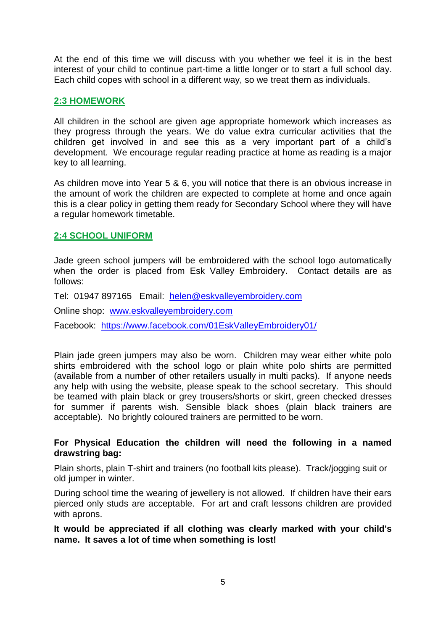At the end of this time we will discuss with you whether we feel it is in the best interest of your child to continue part-time a little longer or to start a full school day. Each child copes with school in a different way, so we treat them as individuals.

## **2:3 HOMEWORK**

All children in the school are given age appropriate homework which increases as they progress through the years. We do value extra curricular activities that the children get involved in and see this as a very important part of a child's development. We encourage regular reading practice at home as reading is a major key to all learning.

As children move into Year 5 & 6, you will notice that there is an obvious increase in the amount of work the children are expected to complete at home and once again this is a clear policy in getting them ready for Secondary School where they will have a regular homework timetable.

# **2:4 SCHOOL UNIFORM**

Jade green school jumpers will be embroidered with the school logo automatically when the order is placed from Esk Valley Embroidery. Contact details are as follows:

Tel: 01947 897165 Email: [helen@eskvalleyembroidery.com](mailto:helen@eskvalleyembroidery.com)

Online shop: [www.eskvalleyembroidery.com](http://www.eskvalleyembroidery.com/)

Facebook: <https://www.facebook.com/01EskValleyEmbroidery01/>

Plain jade green jumpers may also be worn. Children may wear either white polo shirts embroidered with the school logo or plain white polo shirts are permitted (available from a number of other retailers usually in multi packs). If anyone needs any help with using the website, please speak to the school secretary. This should be teamed with plain black or grey trousers/shorts or skirt, green checked dresses for summer if parents wish. Sensible black shoes (plain black trainers are acceptable). No brightly coloured trainers are permitted to be worn.

## **For Physical Education the children will need the following in a named drawstring bag:**

Plain shorts, plain T-shirt and trainers (no football kits please). Track/jogging suit or old jumper in winter.

During school time the wearing of jewellery is not allowed. If children have their ears pierced only studs are acceptable. For art and craft lessons children are provided with aprons.

**It would be appreciated if all clothing was clearly marked with your child's name. It saves a lot of time when something is lost!**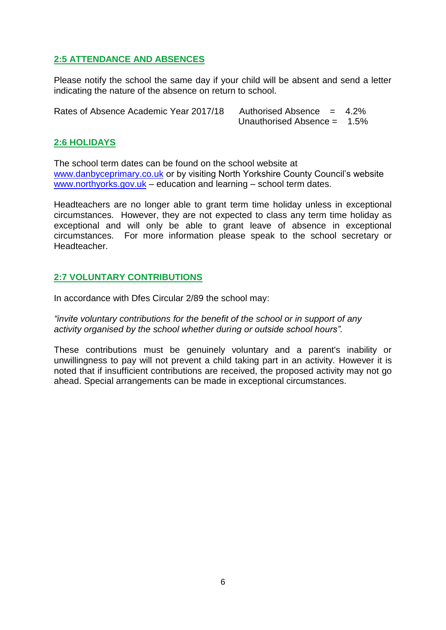# **2:5 ATTENDANCE AND ABSENCES**

Please notify the school the same day if your child will be absent and send a letter indicating the nature of the absence on return to school.

Rates of Absence Academic Year 2017/18 Authorised Absence = 4.2%

Unauthorised Absence = 1.5%

## **2:6 HOLIDAYS**

The school term dates can be found on the school website at [www.danbyceprimary.co.uk](http://www.danbyceprimary.co.uk/) or by visiting North Yorkshire County Council's website [www.northyorks.gov.uk](http://www.northyorks.gov.uk/) – education and learning – school term dates.

Headteachers are no longer able to grant term time holiday unless in exceptional circumstances. However, they are not expected to class any term time holiday as exceptional and will only be able to grant leave of absence in exceptional circumstances. For more information please speak to the school secretary or Headteacher.

# **2:7 VOLUNTARY CONTRIBUTIONS**

In accordance with Dfes Circular 2/89 the school may:

*"invite voluntary contributions for the benefit of the school or in support of any activity organised by the school whether during or outside school hours".*

These contributions must be genuinely voluntary and a parent's inability or unwillingness to pay will not prevent a child taking part in an activity. However it is noted that if insufficient contributions are received, the proposed activity may not go ahead. Special arrangements can be made in exceptional circumstances.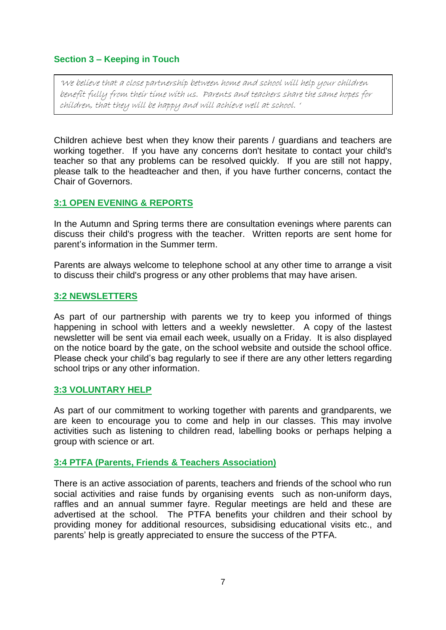# **Section 3 – Keeping in Touch**

'We believe that a close partnership between home and school will help your children benefit fully from their time with us. Parents and teachers share the same hopes for children, that they will be happy and will achieve well at school. '

Children achieve best when they know their parents / guardians and teachers are working together. If you have any concerns don't hesitate to contact your child's teacher so that any problems can be resolved quickly. If you are still not happy, please talk to the headteacher and then, if you have further concerns, contact the Chair of Governors.

## **3:1 OPEN EVENING & REPORTS**

In the Autumn and Spring terms there are consultation evenings where parents can discuss their child's progress with the teacher. Written reports are sent home for parent's information in the Summer term.

Parents are always welcome to telephone school at any other time to arrange a visit to discuss their child's progress or any other problems that may have arisen.

#### **3:2 NEWSLETTERS**

As part of our partnership with parents we try to keep you informed of things happening in school with letters and a weekly newsletter. A copy of the lastest newsletter will be sent via email each week, usually on a Friday. It is also displayed on the notice board by the gate, on the school website and outside the school office. Please check your child's bag regularly to see if there are any other letters regarding school trips or any other information.

#### **3:3 VOLUNTARY HELP**

As part of our commitment to working together with parents and grandparents, we are keen to encourage you to come and help in our classes. This may involve activities such as listening to children read, labelling books or perhaps helping a group with science or art.

## **3:4 PTFA (Parents, Friends & Teachers Association)**

There is an active association of parents, teachers and friends of the school who run social activities and raise funds by organising events such as non-uniform days, raffles and an annual summer fayre. Regular meetings are held and these are advertised at the school. The PTFA benefits your children and their school by providing money for additional resources, subsidising educational visits etc., and parents' help is greatly appreciated to ensure the success of the PTFA.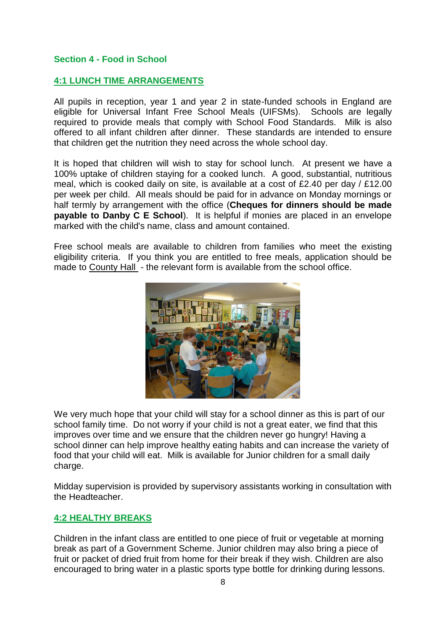## **Section 4 - Food in School**

## **4:1 LUNCH TIME ARRANGEMENTS**

All pupils in reception, year 1 and year 2 in state-funded schools in England are eligible for Universal Infant Free School Meals (UIFSMs). Schools are legally required to provide meals that comply with School Food Standards. Milk is also offered to all infant children after dinner. These standards are intended to ensure that children get the nutrition they need across the whole school day.

It is hoped that children will wish to stay for school lunch. At present we have a 100% uptake of children staying for a cooked lunch. A good, substantial, nutritious meal, which is cooked daily on site, is available at a cost of £2.40 per day / £12.00 per week per child. All meals should be paid for in advance on Monday mornings or half termly by arrangement with the office (**Cheques for dinners should be made payable to Danby C E School**). It is helpful if monies are placed in an envelope marked with the child's name, class and amount contained.

Free school meals are available to children from families who meet the existing eligibility criteria. If you think you are entitled to free meals, application should be made to County Hall - the relevant form is available from the school office.



We very much hope that your child will stay for a school dinner as this is part of our school family time. Do not worry if your child is not a great eater, we find that this improves over time and we ensure that the children never go hungry! Having a school dinner can help improve healthy eating habits and can increase the variety of food that your child will eat. Milk is available for Junior children for a small daily charge.

Midday supervision is provided by supervisory assistants working in consultation with the Headteacher.

# **4:2 HEALTHY BREAKS**

Children in the infant class are entitled to one piece of fruit or vegetable at morning break as part of a Government Scheme. Junior children may also bring a piece of fruit or packet of dried fruit from home for their break if they wish. Children are also encouraged to bring water in a plastic sports type bottle for drinking during lessons.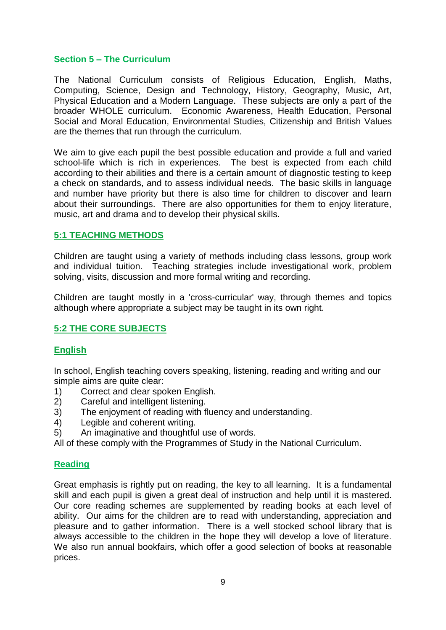## **Section 5 – The Curriculum**

The National Curriculum consists of Religious Education, English, Maths, Computing, Science, Design and Technology, History, Geography, Music, Art, Physical Education and a Modern Language. These subjects are only a part of the broader WHOLE curriculum. Economic Awareness, Health Education, Personal Social and Moral Education, Environmental Studies, Citizenship and British Values are the themes that run through the curriculum.

We aim to give each pupil the best possible education and provide a full and varied school-life which is rich in experiences. The best is expected from each child according to their abilities and there is a certain amount of diagnostic testing to keep a check on standards, and to assess individual needs. The basic skills in language and number have priority but there is also time for children to discover and learn about their surroundings. There are also opportunities for them to enjoy literature, music, art and drama and to develop their physical skills.

## **5:1 TEACHING METHODS**

Children are taught using a variety of methods including class lessons, group work and individual tuition. Teaching strategies include investigational work, problem solving, visits, discussion and more formal writing and recording.

Children are taught mostly in a 'cross-curricular' way, through themes and topics although where appropriate a subject may be taught in its own right.

## **5:2 THE CORE SUBJECTS**

## **English**

In school, English teaching covers speaking, listening, reading and writing and our simple aims are quite clear:

- 1) Correct and clear spoken English.
- 2) Careful and intelligent listening.
- 3) The enjoyment of reading with fluency and understanding.
- 4) Legible and coherent writing.
- 5) An imaginative and thoughtful use of words.

All of these comply with the Programmes of Study in the National Curriculum.

## **Reading**

Great emphasis is rightly put on reading, the key to all learning. It is a fundamental skill and each pupil is given a great deal of instruction and help until it is mastered. Our core reading schemes are supplemented by reading books at each level of ability. Our aims for the children are to read with understanding, appreciation and pleasure and to gather information. There is a well stocked school library that is always accessible to the children in the hope they will develop a love of literature. We also run annual bookfairs, which offer a good selection of books at reasonable prices.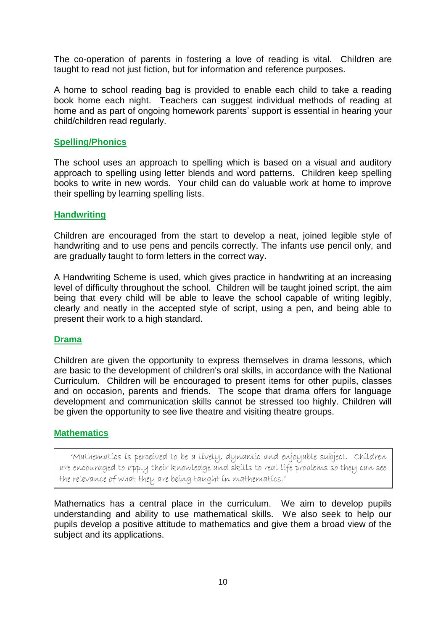The co-operation of parents in fostering a love of reading is vital. Children are taught to read not just fiction, but for information and reference purposes.

A home to school reading bag is provided to enable each child to take a reading book home each night. Teachers can suggest individual methods of reading at home and as part of ongoing homework parents' support is essential in hearing your child/children read regularly.

#### **Spelling/Phonics**

The school uses an approach to spelling which is based on a visual and auditory approach to spelling using letter blends and word patterns. Children keep spelling books to write in new words. Your child can do valuable work at home to improve their spelling by learning spelling lists.

#### **Handwriting**

Children are encouraged from the start to develop a neat, joined legible style of handwriting and to use pens and pencils correctly. The infants use pencil only, and are gradually taught to form letters in the correct way**.**

A Handwriting Scheme is used, which gives practice in handwriting at an increasing level of difficulty throughout the school. Children will be taught joined script, the aim being that every child will be able to leave the school capable of writing legibly, clearly and neatly in the accepted style of script, using a pen, and being able to present their work to a high standard.

## **Drama**

Children are given the opportunity to express themselves in drama lessons, which are basic to the development of children's oral skills, in accordance with the National Curriculum. Children will be encouraged to present items for other pupils, classes and on occasion, parents and friends. The scope that drama offers for language development and communication skills cannot be stressed too highly. Children will be given the opportunity to see live theatre and visiting theatre groups.

## **Mathematics**

 'Mathematics is perceived to be a lively, dynamic and enjoyable subject. Children are encouraged to apply their knowledge and skills to real life problems so they can see the relevance of what they are being taught in mathematics.'

Mathematics has a central place in the curriculum. We aim to develop pupils understanding and ability to use mathematical skills. We also seek to help our pupils develop a positive attitude to mathematics and give them a broad view of the subject and its applications.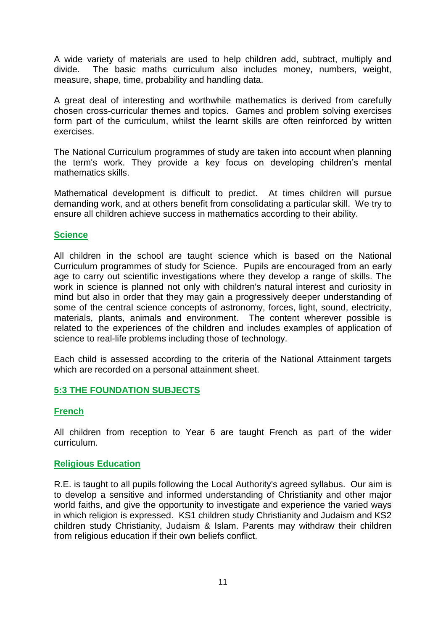A wide variety of materials are used to help children add, subtract, multiply and divide. The basic maths curriculum also includes money, numbers, weight, measure, shape, time, probability and handling data.

A great deal of interesting and worthwhile mathematics is derived from carefully chosen cross-curricular themes and topics. Games and problem solving exercises form part of the curriculum, whilst the learnt skills are often reinforced by written exercises.

The National Curriculum programmes of study are taken into account when planning the term's work. They provide a key focus on developing children's mental mathematics skills.

Mathematical development is difficult to predict. At times children will pursue demanding work, and at others benefit from consolidating a particular skill. We try to ensure all children achieve success in mathematics according to their ability.

## **Science**

All children in the school are taught science which is based on the National Curriculum programmes of study for Science. Pupils are encouraged from an early age to carry out scientific investigations where they develop a range of skills. The work in science is planned not only with children's natural interest and curiosity in mind but also in order that they may gain a progressively deeper understanding of some of the central science concepts of astronomy, forces, light, sound, electricity, materials, plants, animals and environment. The content wherever possible is related to the experiences of the children and includes examples of application of science to real-life problems including those of technology.

Each child is assessed according to the criteria of the National Attainment targets which are recorded on a personal attainment sheet.

## **5:3 THE FOUNDATION SUBJECTS**

## **French**

All children from reception to Year 6 are taught French as part of the wider curriculum.

## **Religious Education**

R.E. is taught to all pupils following the Local Authority's agreed syllabus. Our aim is to develop a sensitive and informed understanding of Christianity and other major world faiths, and give the opportunity to investigate and experience the varied ways in which religion is expressed. KS1 children study Christianity and Judaism and KS2 children study Christianity, Judaism & Islam. Parents may withdraw their children from religious education if their own beliefs conflict.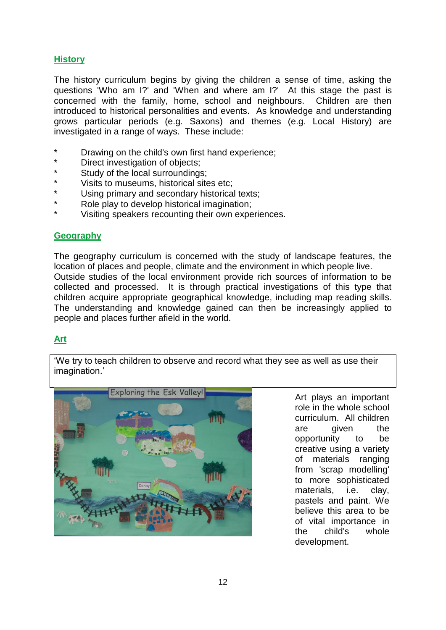# **History**

The history curriculum begins by giving the children a sense of time, asking the questions 'Who am I?' and 'When and where am I?' At this stage the past is concerned with the family, home, school and neighbours. Children are then introduced to historical personalities and events. As knowledge and understanding grows particular periods (e.g. Saxons) and themes (e.g. Local History) are investigated in a range of ways. These include:

- Drawing on the child's own first hand experience;
- \* Direct investigation of objects;
- Study of the local surroundings;
- \* Visits to museums, historical sites etc;<br>\* Using primary and accordany biotorical
- Using primary and secondary historical texts;
- Role play to develop historical imagination;
- Visiting speakers recounting their own experiences.

# **Geography**

The geography curriculum is concerned with the study of landscape features, the location of places and people, climate and the environment in which people live. Outside studies of the local environment provide rich sources of information to be collected and processed. It is through practical investigations of this type that children acquire appropriate geographical knowledge, including map reading skills. The understanding and knowledge gained can then be increasingly applied to people and places further afield in the world.

# **Art**

'We try to teach children to observe and record what they see as well as use their imagination.'



Art plays an important role in the whole school curriculum. All children are given the opportunity to be creative using a variety of materials ranging from 'scrap modelling' to more sophisticated materials, i.e. clay, pastels and paint. We believe this area to be of vital importance in the child's whole development.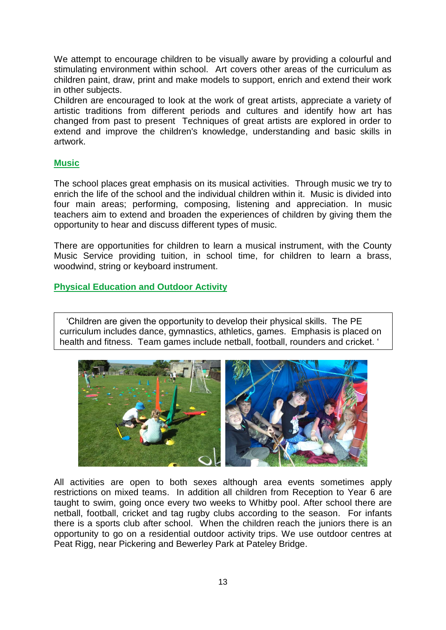We attempt to encourage children to be visually aware by providing a colourful and stimulating environment within school. Art covers other areas of the curriculum as children paint, draw, print and make models to support, enrich and extend their work in other subjects.

Children are encouraged to look at the work of great artists, appreciate a variety of artistic traditions from different periods and cultures and identify how art has changed from past to present Techniques of great artists are explored in order to extend and improve the children's knowledge, understanding and basic skills in artwork.

## **Music**

The school places great emphasis on its musical activities. Through music we try to enrich the life of the school and the individual children within it. Music is divided into four main areas; performing, composing, listening and appreciation. In music teachers aim to extend and broaden the experiences of children by giving them the opportunity to hear and discuss different types of music.

There are opportunities for children to learn a musical instrument, with the County Music Service providing tuition, in school time, for children to learn a brass, woodwind, string or keyboard instrument.

## **Physical Education and Outdoor Activity**

 'Children are given the opportunity to develop their physical skills. The PE curriculum includes dance, gymnastics, athletics, games. Emphasis is placed on health and fitness. Team games include netball, football, rounders and cricket. '



All activities are open to both sexes although area events sometimes apply restrictions on mixed teams. In addition all children from Reception to Year 6 are taught to swim, going once every two weeks to Whitby pool. After school there are netball, football, cricket and tag rugby clubs according to the season. For infants there is a sports club after school. When the children reach the juniors there is an opportunity to go on a residential outdoor activity trips. We use outdoor centres at Peat Rigg, near Pickering and Bewerley Park at Pateley Bridge.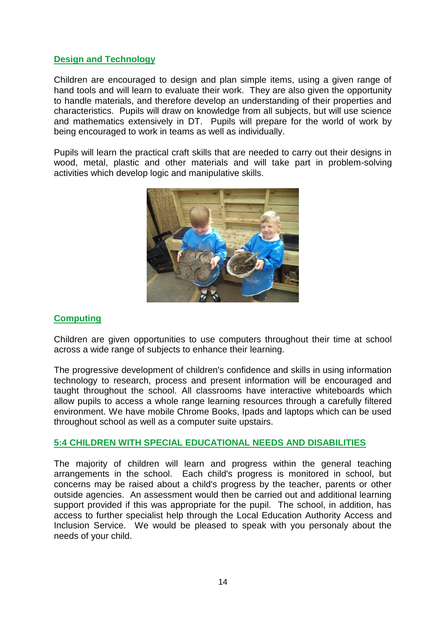## **Design and Technology**

Children are encouraged to design and plan simple items, using a given range of hand tools and will learn to evaluate their work. They are also given the opportunity to handle materials, and therefore develop an understanding of their properties and characteristics. Pupils will draw on knowledge from all subjects, but will use science and mathematics extensively in DT. Pupils will prepare for the world of work by being encouraged to work in teams as well as individually.

Pupils will learn the practical craft skills that are needed to carry out their designs in wood, metal, plastic and other materials and will take part in problem-solving activities which develop logic and manipulative skills.



## **Computing**

Children are given opportunities to use computers throughout their time at school across a wide range of subjects to enhance their learning.

The progressive development of children's confidence and skills in using information technology to research, process and present information will be encouraged and taught throughout the school. All classrooms have interactive whiteboards which allow pupils to access a whole range learning resources through a carefully filtered environment. We have mobile Chrome Books, Ipads and laptops which can be used throughout school as well as a computer suite upstairs.

## **5:4 CHILDREN WITH SPECIAL EDUCATIONAL NEEDS AND DISABILITIES**

The majority of children will learn and progress within the general teaching arrangements in the school. Each child's progress is monitored in school, but concerns may be raised about a child's progress by the teacher, parents or other outside agencies. An assessment would then be carried out and additional learning support provided if this was appropriate for the pupil. The school, in addition, has access to further specialist help through the Local Education Authority Access and Inclusion Service. We would be pleased to speak with you personaly about the needs of your child.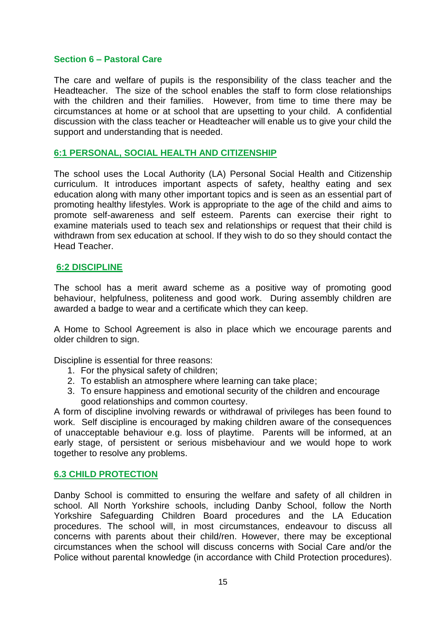## **Section 6 – Pastoral Care**

The care and welfare of pupils is the responsibility of the class teacher and the Headteacher. The size of the school enables the staff to form close relationships with the children and their families. However, from time to time there may be circumstances at home or at school that are upsetting to your child. A confidential discussion with the class teacher or Headteacher will enable us to give your child the support and understanding that is needed.

## **6:1 PERSONAL, SOCIAL HEALTH AND CITIZENSHIP**

The school uses the Local Authority (LA) Personal Social Health and Citizenship curriculum. It introduces important aspects of safety, healthy eating and sex education along with many other important topics and is seen as an essential part of promoting healthy lifestyles. Work is appropriate to the age of the child and aims to promote self-awareness and self esteem. Parents can exercise their right to examine materials used to teach sex and relationships or request that their child is withdrawn from sex education at school. If they wish to do so they should contact the Head Teacher.

## **6:2 DISCIPLINE**

The school has a merit award scheme as a positive way of promoting good behaviour, helpfulness, politeness and good work. During assembly children are awarded a badge to wear and a certificate which they can keep.

A Home to School Agreement is also in place which we encourage parents and older children to sign.

Discipline is essential for three reasons:

- 1. For the physical safety of children;
- 2. To establish an atmosphere where learning can take place;
- 3. To ensure happiness and emotional security of the children and encourage good relationships and common courtesy.

A form of discipline involving rewards or withdrawal of privileges has been found to work. Self discipline is encouraged by making children aware of the consequences of unacceptable behaviour e.g. loss of playtime. Parents will be informed, at an early stage, of persistent or serious misbehaviour and we would hope to work together to resolve any problems.

## **6.3 CHILD PROTECTION**

Danby School is committed to ensuring the welfare and safety of all children in school. All North Yorkshire schools, including Danby School, follow the North Yorkshire Safeguarding Children Board procedures and the LA Education procedures. The school will, in most circumstances, endeavour to discuss all concerns with parents about their child/ren. However, there may be exceptional circumstances when the school will discuss concerns with Social Care and/or the Police without parental knowledge (in accordance with Child Protection procedures).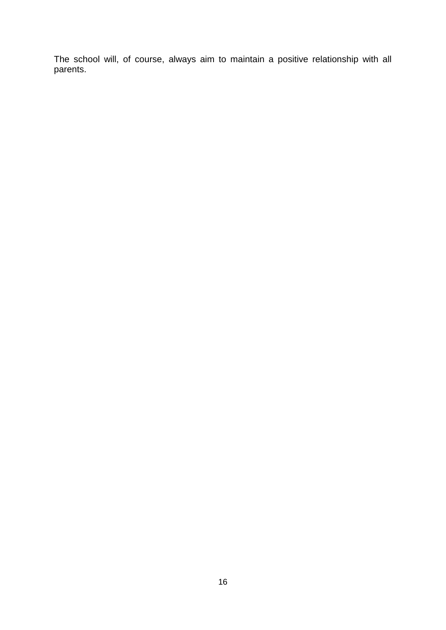The school will, of course, always aim to maintain a positive relationship with all parents.